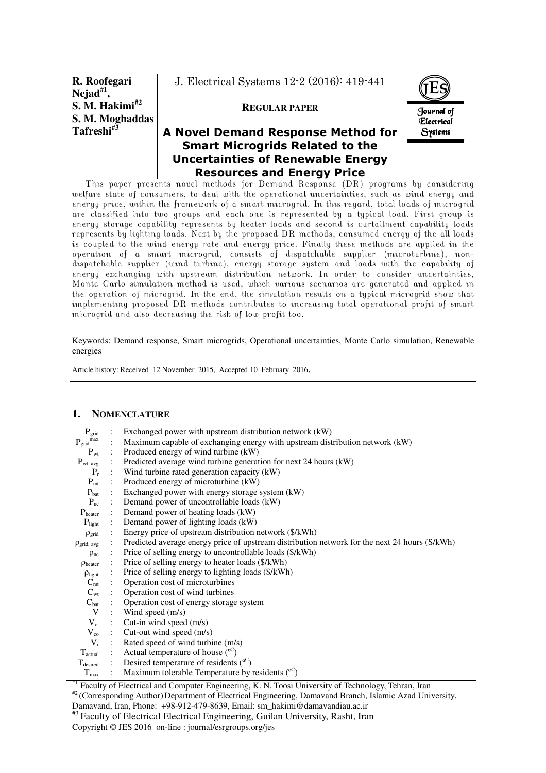**R. Roofegari Nejad#1 , S. M. Hakimi#2 S. M. Moghaddas Tafreshi#3**

J. Electrical Systems 12-2 (2016): 419-441

### **REGULAR PAPER**



# **A Novel Demand Response Method for Smart Microgrids Related to the Uncertainties of Renewable Energy Resources and Energy Price**

This paper presents novel methods for Demand Response (DR) programs by considering welfare state of consumers, to deal with the operational uncertainties, such as wind energy and energy price, within the framework of a smart microgrid. In this regard, total loads of microgrid are classified into two groups and each one is represented by a typical load. First group is energy storage capability represents by heater loads and second is curtailment capability loads represents by lighting loads. Next by the proposed DR methods, consumed energy of the all loads is coupled to the wind energy rate and energy price. Finally these methods are applied in the operation of a smart microgrid, consists of dispatchable supplier (microturbine), nondispatchable supplier (wind turbine), energy storage system and loads with the capability of energy exchanging with upstream distribution network. In order to consider uncertainties, Monte Carlo simulation method is used, which various scenarios are generated and applied in the operation of microgrid. In the end, the simulation results on a typical microgrid show that implementing proposed DR methods contributes to increasing total operational profit of smart microgrid and also decreasing the risk of low profit too.

Keywords: Demand response, Smart microgrids, Operational uncertainties, Monte Carlo simulation, Renewable energies

Article history: Received 12 November 2015, Accepted 10 February 2016.

### **1. NOMENCLATURE**

| $P_{\text{grid}}$              | Exchanged power with upstream distribution network (kW)                                       |  |  |  |  |
|--------------------------------|-----------------------------------------------------------------------------------------------|--|--|--|--|
| $\mathbf{P}_{\text{grid}}$ max | Maximum capable of exchanging energy with upstream distribution network (kW)                  |  |  |  |  |
| $P_{wt}$                       | : Produced energy of wind turbine (kW)                                                        |  |  |  |  |
| $P_{wt, avg}$                  | Predicted average wind turbine generation for next 24 hours (kW)                              |  |  |  |  |
| $P_r$                          | Wind turbine rated generation capacity (kW)                                                   |  |  |  |  |
| $P_{\rm mt}$                   | Produced energy of microturbine (kW)                                                          |  |  |  |  |
| $P_{\text{bat}}$               | Exchanged power with energy storage system (kW)                                               |  |  |  |  |
| $P_{nc}$                       | Demand power of uncontrollable loads (kW)                                                     |  |  |  |  |
| $P_{heater}$                   | Demand power of heating loads (kW)                                                            |  |  |  |  |
| $P_{light}$                    | Demand power of lighting loads (kW)                                                           |  |  |  |  |
| $\rho_{\text{grid}}$           | Energy price of upstream distribution network (\$/kWh)                                        |  |  |  |  |
| $\rho_{grid, avg}$             | Predicted average energy price of upstream distribution network for the next 24 hours (S/kWh) |  |  |  |  |
| $\rho_{nc}$                    | Price of selling energy to uncontrollable loads (\$/kWh)                                      |  |  |  |  |
| $\rho_{\text{heater}}$         | Price of selling energy to heater loads (\$/kWh)                                              |  |  |  |  |
| $\rho_{\text{light}}$          | Price of selling energy to lighting loads (\$/kWh)                                            |  |  |  |  |
| $C_{mt}$                       | : Operation cost of microturbines                                                             |  |  |  |  |
| $C_{\rm wt}$                   | : Operation cost of wind turbines                                                             |  |  |  |  |
| $C_{bat}$                      | : Operation cost of energy storage system                                                     |  |  |  |  |
| V                              | : Wind speed $(m/s)$                                                                          |  |  |  |  |
| $V_{ci}$                       | : Cut-in wind speed $(m/s)$                                                                   |  |  |  |  |
| $V_{\rm co}$                   | : Cut-out wind speed (m/s)                                                                    |  |  |  |  |
| $V_r$                          | : Rated speed of wind turbine (m/s)                                                           |  |  |  |  |
| $T_{\text{actual}}$            | : Actual temperature of house $(0^{\circ})$                                                   |  |  |  |  |
| $T_{\text{desired}}$           | : Desired temperature of residents $(°C)$                                                     |  |  |  |  |
| $T_{\text{max}}$               | Maximum tolerable Temperature by residents $(°^C)$                                            |  |  |  |  |

#1 Faculty of Electrical and Computer Engineering, K. N. Toosi University of Technology, Tehran, Iran

 $*$ <sup>2</sup> (Corresponding Author) Department of Electrical Engineering, Damavand Branch, Islamic Azad University,

Damavand, Iran, Phone: +98-912-479-8639, Email: sm\_hakimi@damavandiau.ac.ir

#3 Faculty of Electrical Electrical Engineering, Guilan University, Rasht, Iran Copyright © JES 2016 on-line : journal/esrgroups.org/jes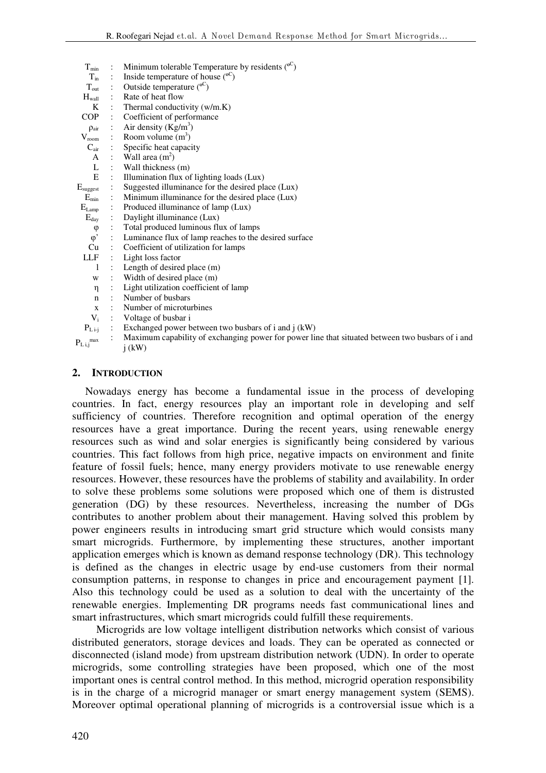| $T_{min}$                  | $\mathbb{R}^n$ | Minimum tolerable Temperature by residents $(0^{\circ})$                                         |
|----------------------------|----------------|--------------------------------------------------------------------------------------------------|
| $T_{\rm in}$               |                | Inside temperature of house $(°C)$                                                               |
| $T_{\rm out}$              |                | Outside temperature $(°C)$                                                                       |
| $H_{wall}$                 |                | : Rate of heat flow                                                                              |
| K                          |                | : Thermal conductivity $(w/m.K)$                                                                 |
| COP —                      | $\mathcal{L}$  | Coefficient of performance                                                                       |
| $\rho_{\text{air}}$        |                | Air density $(Kg/m^3)$                                                                           |
| $V_{\rm room}$             |                | : Room volume $(m^3)$                                                                            |
|                            |                | $C_{\text{air}}$ : Specific heat capacity                                                        |
| A                          |                | : Wall area $(m^2)$                                                                              |
| $\mathbf{L}$               |                | : Wall thickness $(m)$                                                                           |
| E                          |                | Illumination flux of lighting loads (Lux)                                                        |
| $E_{\text{suggest}}$       |                | Suggested illuminance for the desired place (Lux)                                                |
| $E_{\rm min}$              |                | Minimum illuminance for the desired place (Lux)                                                  |
| $E_{Lamp}$                 |                | : Produced illuminance of lamp (Lux)                                                             |
| $E_{\rm day}$              |                | : Daylight illuminance (Lux)                                                                     |
| $\varphi$                  |                | Total produced luminous flux of lamps                                                            |
| $\varphi$ <sup>'</sup>     |                | : Luminance flux of lamp reaches to the desired surface                                          |
| Cu                         |                | : Coefficient of utilization for lamps                                                           |
| LLF                        |                | : Light loss factor                                                                              |
| -1                         |                | : Length of desired place (m)                                                                    |
| W                          |                | : Width of desired place (m)                                                                     |
| η                          |                | : Light utilization coefficient of lamp                                                          |
| $\mathbf n$                |                | : Number of busbars                                                                              |
| $\mathbf{x}$               |                | : Number of microturbines                                                                        |
| $V_i$                      |                | : Voltage of busbar i                                                                            |
| $P_{L i-j}$                |                | $\therefore$ Exchanged power between two busbars of i and j (kW)                                 |
| $P_{L i,j}$ <sup>max</sup> |                | Maximum capability of exchanging power for power line that situated between two busbars of i and |
|                            |                | $i$ (kW)                                                                                         |

## **2. INTRODUCTION**

Nowadays energy has become a fundamental issue in the process of developing countries. In fact, energy resources play an important role in developing and self sufficiency of countries. Therefore recognition and optimal operation of the energy resources have a great importance. During the recent years, using renewable energy resources such as wind and solar energies is significantly being considered by various countries. This fact follows from high price, negative impacts on environment and finite feature of fossil fuels; hence, many energy providers motivate to use renewable energy resources. However, these resources have the problems of stability and availability. In order to solve these problems some solutions were proposed which one of them is distrusted generation (DG) by these resources. Nevertheless, increasing the number of DGs contributes to another problem about their management. Having solved this problem by power engineers results in introducing smart grid structure which would consists many smart microgrids. Furthermore, by implementing these structures, another important application emerges which is known as demand response technology (DR). This technology is defined as the changes in electric usage by end-use customers from their normal consumption patterns, in response to changes in price and encouragement payment [1]. Also this technology could be used as a solution to deal with the uncertainty of the renewable energies. Implementing DR programs needs fast communicational lines and smart infrastructures, which smart microgrids could fulfill these requirements.

 Microgrids are low voltage intelligent distribution networks which consist of various distributed generators, storage devices and loads. They can be operated as connected or disconnected (island mode) from upstream distribution network (UDN). In order to operate microgrids, some controlling strategies have been proposed, which one of the most important ones is central control method. In this method, microgrid operation responsibility is in the charge of a microgrid manager or smart energy management system (SEMS). Moreover optimal operational planning of microgrids is a controversial issue which is a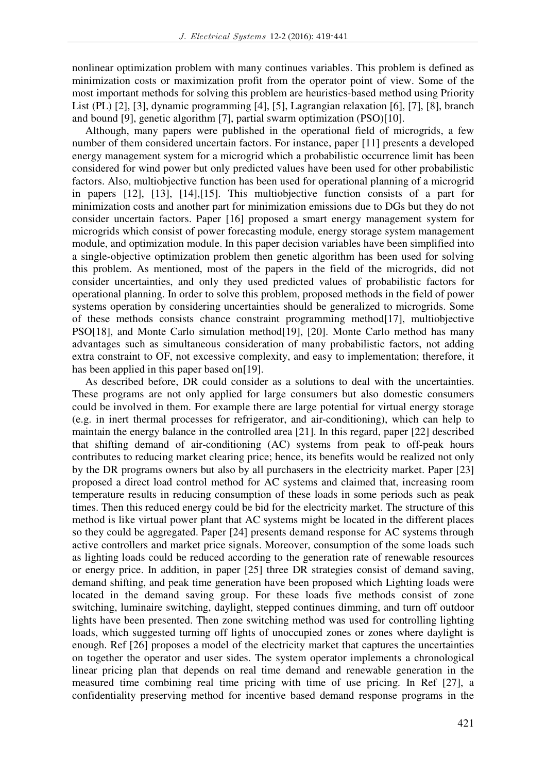nonlinear optimization problem with many continues variables. This problem is defined as minimization costs or maximization profit from the operator point of view. Some of the most important methods for solving this problem are heuristics-based method using Priority List (PL) [2], [3], dynamic programming [4], [5], Lagrangian relaxation [6], [7], [8], branch and bound [9], genetic algorithm [7], partial swarm optimization (PSO)[10].

Although, many papers were published in the operational field of microgrids, a few number of them considered uncertain factors. For instance, paper [11] presents a developed energy management system for a microgrid which a probabilistic occurrence limit has been considered for wind power but only predicted values have been used for other probabilistic factors. Also, multiobjective function has been used for operational planning of a microgrid in papers [12], [13], [14],[15]. This multiobjective function consists of a part for minimization costs and another part for minimization emissions due to DGs but they do not consider uncertain factors. Paper [16] proposed a smart energy management system for microgrids which consist of power forecasting module, energy storage system management module, and optimization module. In this paper decision variables have been simplified into a single-objective optimization problem then genetic algorithm has been used for solving this problem. As mentioned, most of the papers in the field of the microgrids, did not consider uncertainties, and only they used predicted values of probabilistic factors for operational planning. In order to solve this problem, proposed methods in the field of power systems operation by considering uncertainties should be generalized to microgrids. Some of these methods consists chance constraint programming method[17], multiobjective PSO[18], and Monte Carlo simulation method[19], [20]. Monte Carlo method has many advantages such as simultaneous consideration of many probabilistic factors, not adding extra constraint to OF, not excessive complexity, and easy to implementation; therefore, it has been applied in this paper based on[19].

As described before, DR could consider as a solutions to deal with the uncertainties. These programs are not only applied for large consumers but also domestic consumers could be involved in them. For example there are large potential for virtual energy storage (e.g. in inert thermal processes for refrigerator, and air-conditioning), which can help to maintain the energy balance in the controlled area [21]. In this regard, paper [22] described that shifting demand of air-conditioning (AC) systems from peak to off-peak hours contributes to reducing market clearing price; hence, its benefits would be realized not only by the DR programs owners but also by all purchasers in the electricity market. Paper [23] proposed a direct load control method for AC systems and claimed that, increasing room temperature results in reducing consumption of these loads in some periods such as peak times. Then this reduced energy could be bid for the electricity market. The structure of this method is like virtual power plant that AC systems might be located in the different places so they could be aggregated. Paper [24] presents demand response for AC systems through active controllers and market price signals. Moreover, consumption of the some loads such as lighting loads could be reduced according to the generation rate of renewable resources or energy price. In addition, in paper [25] three DR strategies consist of demand saving, demand shifting, and peak time generation have been proposed which Lighting loads were located in the demand saving group. For these loads five methods consist of zone switching, luminaire switching, daylight, stepped continues dimming, and turn off outdoor lights have been presented. Then zone switching method was used for controlling lighting loads, which suggested turning off lights of unoccupied zones or zones where daylight is enough. Ref [26] proposes a model of the electricity market that captures the uncertainties on together the operator and user sides. The system operator implements a chronological linear pricing plan that depends on real time demand and renewable generation in the measured time combining real time pricing with time of use pricing. In Ref [27], a confidentiality preserving method for incentive based demand response programs in the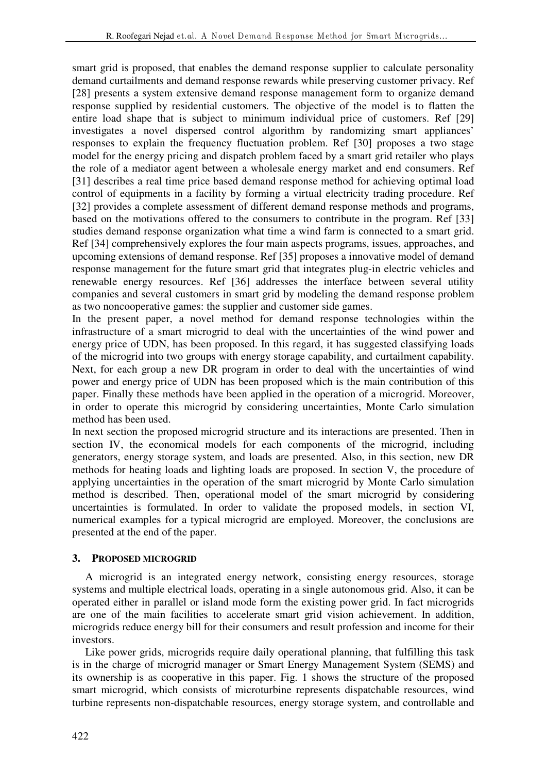smart grid is proposed, that enables the demand response supplier to calculate personality demand curtailments and demand response rewards while preserving customer privacy. Ref [28] presents a system extensive demand response management form to organize demand response supplied by residential customers. The objective of the model is to flatten the entire load shape that is subject to minimum individual price of customers. Ref [29] investigates a novel dispersed control algorithm by randomizing smart appliances' responses to explain the frequency fluctuation problem. Ref [30] proposes a two stage model for the energy pricing and dispatch problem faced by a smart grid retailer who plays the role of a mediator agent between a wholesale energy market and end consumers. Ref [31] describes a real time price based demand response method for achieving optimal load control of equipments in a facility by forming a virtual electricity trading procedure. Ref [32] provides a complete assessment of different demand response methods and programs, based on the motivations offered to the consumers to contribute in the program. Ref [33] studies demand response organization what time a wind farm is connected to a smart grid. Ref [34] comprehensively explores the four main aspects programs, issues, approaches, and upcoming extensions of demand response. Ref [35] proposes a innovative model of demand response management for the future smart grid that integrates plug-in electric vehicles and renewable energy resources. Ref [36] addresses the interface between several utility companies and several customers in smart grid by modeling the demand response problem as two noncooperative games: the supplier and customer side games.

In the present paper, a novel method for demand response technologies within the infrastructure of a smart microgrid to deal with the uncertainties of the wind power and energy price of UDN, has been proposed. In this regard, it has suggested classifying loads of the microgrid into two groups with energy storage capability, and curtailment capability. Next, for each group a new DR program in order to deal with the uncertainties of wind power and energy price of UDN has been proposed which is the main contribution of this paper. Finally these methods have been applied in the operation of a microgrid. Moreover, in order to operate this microgrid by considering uncertainties, Monte Carlo simulation method has been used.

In next section the proposed microgrid structure and its interactions are presented. Then in section IV, the economical models for each components of the microgrid, including generators, energy storage system, and loads are presented. Also, in this section, new DR methods for heating loads and lighting loads are proposed. In section V, the procedure of applying uncertainties in the operation of the smart microgrid by Monte Carlo simulation method is described. Then, operational model of the smart microgrid by considering uncertainties is formulated. In order to validate the proposed models, in section VI, numerical examples for a typical microgrid are employed. Moreover, the conclusions are presented at the end of the paper.

# **3. PROPOSED MICROGRID**

A microgrid is an integrated energy network, consisting energy resources, storage systems and multiple electrical loads, operating in a single autonomous grid. Also, it can be operated either in parallel or island mode form the existing power grid. In fact microgrids are one of the main facilities to accelerate smart grid vision achievement. In addition, microgrids reduce energy bill for their consumers and result profession and income for their investors.

Like power grids, microgrids require daily operational planning, that fulfilling this task is in the charge of microgrid manager or Smart Energy Management System (SEMS) and its ownership is as cooperative in this paper. Fig. 1 shows the structure of the proposed smart microgrid, which consists of microturbine represents dispatchable resources, wind turbine represents non-dispatchable resources, energy storage system, and controllable and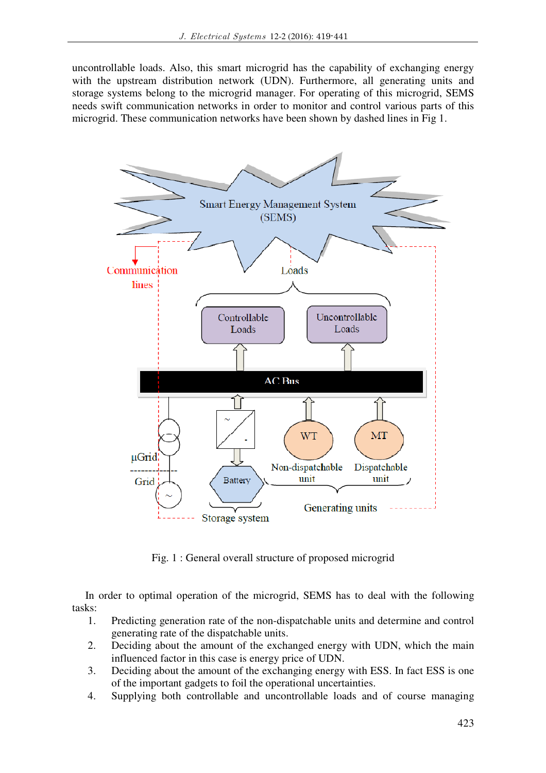uncontrollable loads. Also, this smart microgrid has the capability of exchanging energy with the upstream distribution network (UDN). Furthermore, all generating units and storage systems belong to the microgrid manager. For operating of this microgrid, SEMS needs swift communication networks in order to monitor and control various parts of this microgrid. These communication networks have been shown by dashed lines in Fig 1.



Fig. 1 : General overall structure of proposed microgrid

In order to optimal operation of the microgrid, SEMS has to deal with the following tasks:

- 1. Predicting generation rate of the non-dispatchable units and determine and control generating rate of the dispatchable units.
- 2. Deciding about the amount of the exchanged energy with UDN, which the main influenced factor in this case is energy price of UDN.
- 3. Deciding about the amount of the exchanging energy with ESS. In fact ESS is one of the important gadgets to foil the operational uncertainties.
- 4. Supplying both controllable and uncontrollable loads and of course managing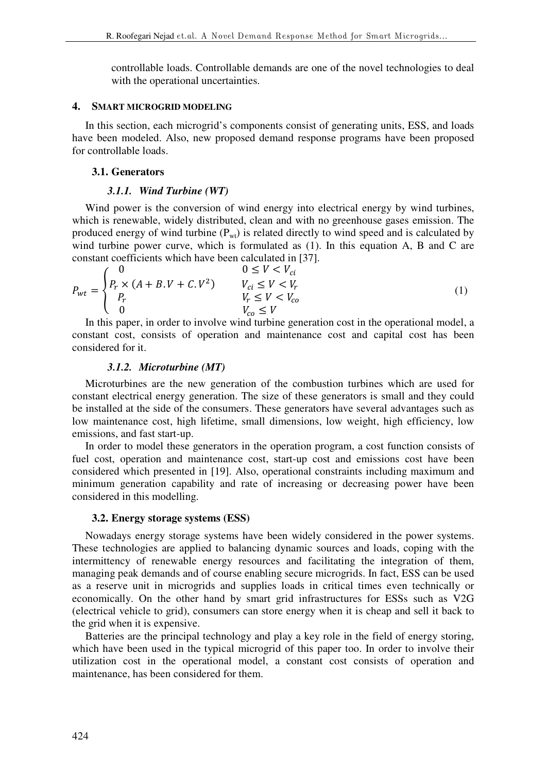controllable loads. Controllable demands are one of the novel technologies to deal with the operational uncertainties.

### **4. SMART MICROGRID MODELING**

In this section, each microgrid's components consist of generating units, ESS, and loads have been modeled. Also, new proposed demand response programs have been proposed for controllable loads.

## **3.1. Generators**

## *3.1.1. Wind Turbine (WT)*

Wind power is the conversion of wind energy into electrical energy by wind turbines, which is renewable, widely distributed, clean and with no greenhouse gases emission. The produced energy of wind turbine  $(P_{wt})$  is related directly to wind speed and is calculated by wind turbine power curve, which is formulated as (1). In this equation A, B and C are constant coefficients which have been calculated in [37].

$$
P_{wt} = \begin{cases} 0 & 0 \le V < V_{ci} \\ P_r \times (A + B \cdot V + C \cdot V^2) & V_{ci} \le V < V_r \\ P_r & V_r \le V < V_{co} \\ 0 & V_{co} \le V \end{cases}
$$
(1)

In this paper, in order to involve wind turbine generation cost in the operational model, a constant cost, consists of operation and maintenance cost and capital cost has been considered for it.

## *3.1.2. Microturbine (MT)*

Microturbines are the new generation of the combustion turbines which are used for constant electrical energy generation. The size of these generators is small and they could be installed at the side of the consumers. These generators have several advantages such as low maintenance cost, high lifetime, small dimensions, low weight, high efficiency, low emissions, and fast start-up.

In order to model these generators in the operation program, a cost function consists of fuel cost, operation and maintenance cost, start-up cost and emissions cost have been considered which presented in [19]. Also, operational constraints including maximum and minimum generation capability and rate of increasing or decreasing power have been considered in this modelling.

## **3.2. Energy storage systems (ESS)**

Nowadays energy storage systems have been widely considered in the power systems. These technologies are applied to balancing dynamic sources and loads, coping with the intermittency of renewable energy resources and facilitating the integration of them, managing peak demands and of course enabling secure microgrids. In fact, ESS can be used as a reserve unit in microgrids and supplies loads in critical times even technically or economically. On the other hand by smart grid infrastructures for ESSs such as V2G (electrical vehicle to grid), consumers can store energy when it is cheap and sell it back to the grid when it is expensive.

Batteries are the principal technology and play a key role in the field of energy storing, which have been used in the typical microgrid of this paper too. In order to involve their utilization cost in the operational model, a constant cost consists of operation and maintenance, has been considered for them.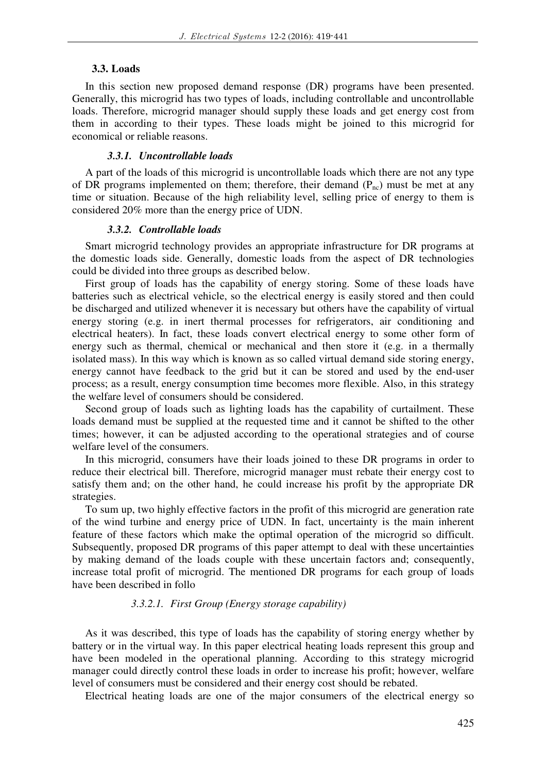### **3.3. Loads**

In this section new proposed demand response (DR) programs have been presented. Generally, this microgrid has two types of loads, including controllable and uncontrollable loads. Therefore, microgrid manager should supply these loads and get energy cost from them in according to their types. These loads might be joined to this microgrid for economical or reliable reasons.

### *3.3.1. Uncontrollable loads*

A part of the loads of this microgrid is uncontrollable loads which there are not any type of DR programs implemented on them; therefore, their demand  $(P_{nc})$  must be met at any time or situation. Because of the high reliability level, selling price of energy to them is considered 20% more than the energy price of UDN.

### *3.3.2. Controllable loads*

Smart microgrid technology provides an appropriate infrastructure for DR programs at the domestic loads side. Generally, domestic loads from the aspect of DR technologies could be divided into three groups as described below.

First group of loads has the capability of energy storing. Some of these loads have batteries such as electrical vehicle, so the electrical energy is easily stored and then could be discharged and utilized whenever it is necessary but others have the capability of virtual energy storing (e.g. in inert thermal processes for refrigerators, air conditioning and electrical heaters). In fact, these loads convert electrical energy to some other form of energy such as thermal, chemical or mechanical and then store it (e.g. in a thermally isolated mass). In this way which is known as so called virtual demand side storing energy, energy cannot have feedback to the grid but it can be stored and used by the end-user process; as a result, energy consumption time becomes more flexible. Also, in this strategy the welfare level of consumers should be considered.

Second group of loads such as lighting loads has the capability of curtailment. These loads demand must be supplied at the requested time and it cannot be shifted to the other times; however, it can be adjusted according to the operational strategies and of course welfare level of the consumers.

In this microgrid, consumers have their loads joined to these DR programs in order to reduce their electrical bill. Therefore, microgrid manager must rebate their energy cost to satisfy them and; on the other hand, he could increase his profit by the appropriate DR strategies.

To sum up, two highly effective factors in the profit of this microgrid are generation rate of the wind turbine and energy price of UDN. In fact, uncertainty is the main inherent feature of these factors which make the optimal operation of the microgrid so difficult. Subsequently, proposed DR programs of this paper attempt to deal with these uncertainties by making demand of the loads couple with these uncertain factors and; consequently, increase total profit of microgrid. The mentioned DR programs for each group of loads have been described in follo

## *3.3.2.1. First Group (Energy storage capability)*

As it was described, this type of loads has the capability of storing energy whether by battery or in the virtual way. In this paper electrical heating loads represent this group and have been modeled in the operational planning. According to this strategy microgrid manager could directly control these loads in order to increase his profit; however, welfare level of consumers must be considered and their energy cost should be rebated.

Electrical heating loads are one of the major consumers of the electrical energy so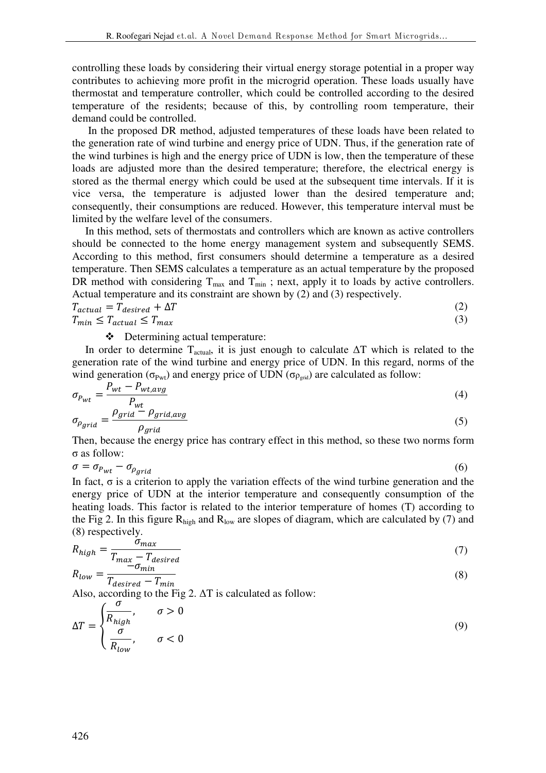controlling these loads by considering their virtual energy storage potential in a proper way contributes to achieving more profit in the microgrid operation. These loads usually have thermostat and temperature controller, which could be controlled according to the desired temperature of the residents; because of this, by controlling room temperature, their demand could be controlled.

 In the proposed DR method, adjusted temperatures of these loads have been related to the generation rate of wind turbine and energy price of UDN. Thus, if the generation rate of the wind turbines is high and the energy price of UDN is low, then the temperature of these loads are adjusted more than the desired temperature; therefore, the electrical energy is stored as the thermal energy which could be used at the subsequent time intervals. If it is vice versa, the temperature is adjusted lower than the desired temperature and; consequently, their consumptions are reduced. However, this temperature interval must be limited by the welfare level of the consumers.

In this method, sets of thermostats and controllers which are known as active controllers should be connected to the home energy management system and subsequently SEMS. According to this method, first consumers should determine a temperature as a desired temperature. Then SEMS calculates a temperature as an actual temperature by the proposed DR method with considering  $T_{max}$  and  $T_{min}$ ; next, apply it to loads by active controllers. Actual temperature and its constraint are shown by (2) and (3) respectively.

$$
T_{actual} = T_{desired} + \Delta T
$$
\n<sup>(2)</sup>

 $T_{min} \leq T_{actual} \leq T_{max}$  (3)

Determining actual temperature:

In order to determine  $T_{actual}$ , it is just enough to calculate  $\Delta T$  which is related to the generation rate of the wind turbine and energy price of UDN. In this regard, norms of the wind generation ( $\sigma_{\text{Pwt}}$ ) and energy price of UDN ( $\sigma_{\text{Pgrid}}$ ) are calculated as follow:

$$
\sigma_{P_{wt}} = \frac{P_{wt} - P_{wt, avg}}{P_{wt}} \tag{4}
$$

$$
\sigma_{\rho_{grid}} = \frac{\rho_{grid} - \rho_{grid,avg}}{\rho_{grid}} \tag{5}
$$

Then, because the energy price has contrary effect in this method, so these two norms form σ as follow:

$$
\sigma = \sigma_{P_{wt}} - \sigma_{\rho_{grid}} \tag{6}
$$

In fact,  $\sigma$  is a criterion to apply the variation effects of the wind turbine generation and the energy price of UDN at the interior temperature and consequently consumption of the heating loads. This factor is related to the interior temperature of homes (T) according to the Fig 2. In this figure  $R_{high}$  and  $R_{low}$  are slopes of diagram, which are calculated by (7) and (8) respectively.

$$
R_{high} = \frac{\sigma_{max}}{T_{max} - T_{desired}}\tag{7}
$$

$$
R_{low} = \frac{m}{T_{desired} - T_{min}}\tag{8}
$$

Also, according to the Fig 2.  $\Delta T$  is calculated as follow:

$$
\Delta T = \begin{cases} \frac{\sigma}{R_{high}}, & \sigma > 0\\ \frac{\sigma}{R_{low}}, & \sigma < 0 \end{cases}
$$
 (9)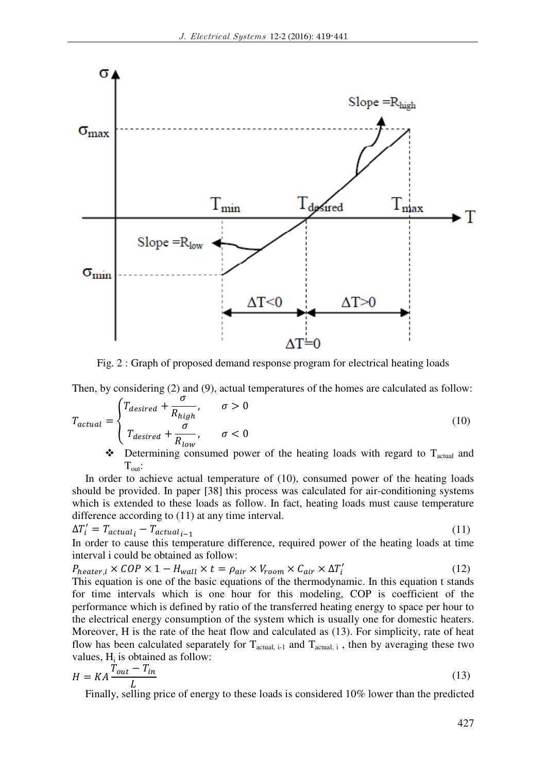

Fig. 2 : Graph of proposed demand response program for electrical heating loads

Then, by considering (2) and (9), actual temperatures of the homes are calculated as follow:

$$
T_{actual} = \begin{cases} T_{desired} + \frac{\sigma}{R_{high}}, & \sigma > 0\\ T_{desired} + \frac{\sigma}{R_{low}}, & \sigma < 0 \end{cases}
$$
(10)

 $\bullet$  Determining consumed power of the heating loads with regard to T<sub>actual</sub> and  $T_{\text{out}}$ :

In order to achieve actual temperature of (10), consumed power of the heating loads should be provided. In paper [38] this process was calculated for air-conditioning systems which is extended to these loads as follow. In fact, heating loads must cause temperature difference according to (11) at any time interval.

$$
\Delta T_i' = T_{actual_i} - T_{actual_{i-1}}
$$
\n(11)

In order to cause this temperature difference, required power of the heating loads at time interval i could be obtained as follow:

 $P_{heater,i} \times COP \times 1 - H_{wall} \times t = \rho_{air} \times V_{room} \times C_{air} \times \Delta T'_{i}$ (12)

This equation is one of the basic equations of the thermodynamic. In this equation t stands for time intervals which is one hour for this modeling, COP is coefficient of the performance which is defined by ratio of the transferred heating energy to space per hour to the electrical energy consumption of the system which is usually one for domestic heaters. Moreover, H is the rate of the heat flow and calculated as (13). For simplicity, rate of heat flow has been calculated separately for  $T_{actual, i-1}$  and  $T_{actual, i}$ , then by averaging these two values,  $H_i$  is obtained as follow:

$$
H = KA \frac{T_{out} - T_{in}}{L}
$$
\n
$$
F = H \frac{L}{V}
$$
\n(13)

Finally, selling price of energy to these loads is considered 10% lower than the predicted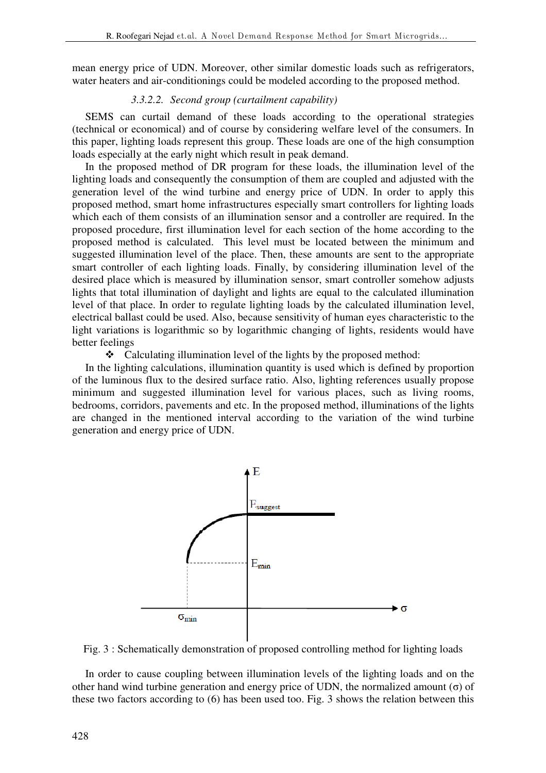mean energy price of UDN. Moreover, other similar domestic loads such as refrigerators, water heaters and air-conditionings could be modeled according to the proposed method.

# *3.3.2.2. Second group (curtailment capability)*

SEMS can curtail demand of these loads according to the operational strategies (technical or economical) and of course by considering welfare level of the consumers. In this paper, lighting loads represent this group. These loads are one of the high consumption loads especially at the early night which result in peak demand.

In the proposed method of DR program for these loads, the illumination level of the lighting loads and consequently the consumption of them are coupled and adjusted with the generation level of the wind turbine and energy price of UDN. In order to apply this proposed method, smart home infrastructures especially smart controllers for lighting loads which each of them consists of an illumination sensor and a controller are required. In the proposed procedure, first illumination level for each section of the home according to the proposed method is calculated. This level must be located between the minimum and suggested illumination level of the place. Then, these amounts are sent to the appropriate smart controller of each lighting loads. Finally, by considering illumination level of the desired place which is measured by illumination sensor, smart controller somehow adjusts lights that total illumination of daylight and lights are equal to the calculated illumination level of that place. In order to regulate lighting loads by the calculated illumination level, electrical ballast could be used. Also, because sensitivity of human eyes characteristic to the light variations is logarithmic so by logarithmic changing of lights, residents would have better feelings

• Calculating illumination level of the lights by the proposed method:

In the lighting calculations, illumination quantity is used which is defined by proportion of the luminous flux to the desired surface ratio. Also, lighting references usually propose minimum and suggested illumination level for various places, such as living rooms, bedrooms, corridors, pavements and etc. In the proposed method, illuminations of the lights are changed in the mentioned interval according to the variation of the wind turbine generation and energy price of UDN.



Fig. 3 : Schematically demonstration of proposed controlling method for lighting loads

In order to cause coupling between illumination levels of the lighting loads and on the other hand wind turbine generation and energy price of UDN, the normalized amount (σ) of these two factors according to (6) has been used too. Fig. 3 shows the relation between this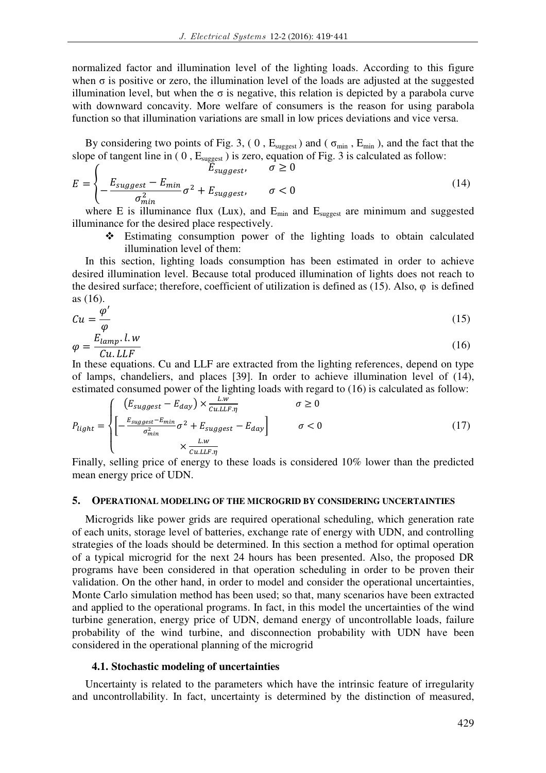normalized factor and illumination level of the lighting loads. According to this figure when  $\sigma$  is positive or zero, the illumination level of the loads are adjusted at the suggested illumination level, but when the σ is negative, this relation is depicted by a parabola curve with downward concavity. More welfare of consumers is the reason for using parabola function so that illumination variations are small in low prices deviations and vice versa.

By considering two points of Fig. 3, (0,  $E_{suggest}$ ) and ( $\sigma_{min}$ ,  $E_{min}$ ), and the fact that the slope of tangent line in (0,  $E_{\text{suggest}}$ ) is zero, equation of Fig. 3 is calculated as follow:

$$
E = \begin{cases} E_{suggest}, & \sigma \ge 0\\ -\frac{E_{suggest} - E_{min}}{\sigma_{min}^2} \sigma^2 + E_{suggest}, & \sigma < 0 \end{cases}
$$
(14)

where E is illuminance flux (Lux), and  $E_{min}$  and  $E_{suggest}$  are minimum and suggested illuminance for the desired place respectively.

 Estimating consumption power of the lighting loads to obtain calculated illumination level of them:

In this section, lighting loads consumption has been estimated in order to achieve desired illumination level. Because total produced illumination of lights does not reach to the desired surface; therefore, coefficient of utilization is defined as (15). Also, φ is defined as (16).

$$
Cu = \frac{\varphi'}{\varphi}
$$
  
  $E_{lmm}$  l. w (15)

$$
\varphi = \frac{E_{lamp} \cdot l \cdot w}{Cu \cdot LLF}
$$
\n(16)

In these equations. Cu and LLF are extracted from the lighting references, depend on type of lamps, chandeliers, and places [39]. In order to achieve illumination level of (14), estimated consumed power of the lighting loads with regard to (16) is calculated as follow:

$$
P_{light} = \begin{cases} \left( E_{suggest} - E_{day} \right) \times \frac{L \cdot w}{C_{u. L L F. \eta}} & \sigma \ge 0\\ \left[ -\frac{E_{suggest} - E_{min}}{\sigma_{min}^2} \sigma^2 + E_{suggest} - E_{day} \right] & \sigma < 0\\ \times \frac{L \cdot w}{C_{u. L L F. \eta}} \end{cases}
$$
(17)

Finally, selling price of energy to these loads is considered 10% lower than the predicted mean energy price of UDN.

## **5. OPERATIONAL MODELING OF THE MICROGRID BY CONSIDERING UNCERTAINTIES**

Microgrids like power grids are required operational scheduling, which generation rate of each units, storage level of batteries, exchange rate of energy with UDN, and controlling strategies of the loads should be determined. In this section a method for optimal operation of a typical microgrid for the next 24 hours has been presented. Also, the proposed DR programs have been considered in that operation scheduling in order to be proven their validation. On the other hand, in order to model and consider the operational uncertainties, Monte Carlo simulation method has been used; so that, many scenarios have been extracted and applied to the operational programs. In fact, in this model the uncertainties of the wind turbine generation, energy price of UDN, demand energy of uncontrollable loads, failure probability of the wind turbine, and disconnection probability with UDN have been considered in the operational planning of the microgrid

### **4.1. Stochastic modeling of uncertainties**

Uncertainty is related to the parameters which have the intrinsic feature of irregularity and uncontrollability. In fact, uncertainty is determined by the distinction of measured,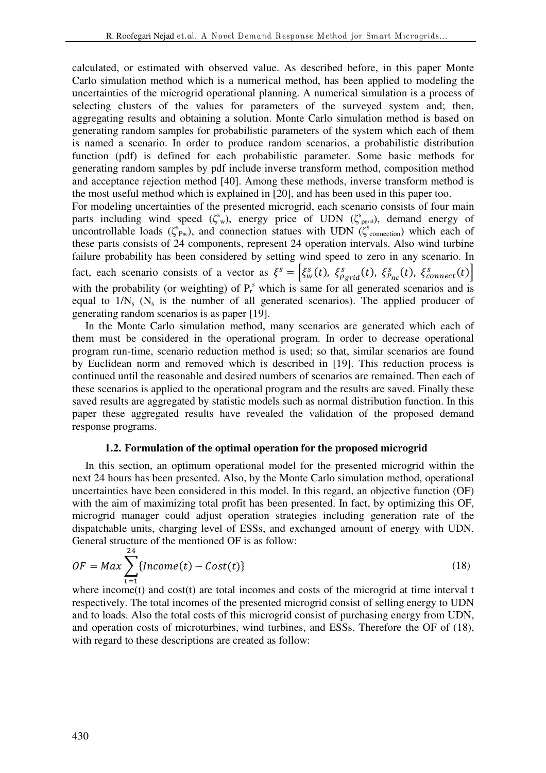calculated, or estimated with observed value. As described before, in this paper Monte Carlo simulation method which is a numerical method, has been applied to modeling the uncertainties of the microgrid operational planning. A numerical simulation is a process of selecting clusters of the values for parameters of the surveyed system and; then, aggregating results and obtaining a solution. Monte Carlo simulation method is based on generating random samples for probabilistic parameters of the system which each of them is named a scenario. In order to produce random scenarios, a probabilistic distribution function (pdf) is defined for each probabilistic parameter. Some basic methods for generating random samples by pdf include inverse transform method, composition method and acceptance rejection method [40]. Among these methods, inverse transform method is the most useful method which is explained in [20], and has been used in this paper too.

For modeling uncertainties of the presented microgrid, each scenario consists of four main parts including wind speed  $(\zeta^s w)$ , energy price of UDN  $(\zeta^s)$  demand energy of uncontrollable loads ( $\zeta_{\text{Pre}}^s$ ), and connection statues with UDN ( $\zeta_{\text{connection}}^s$ ) which each of these parts consists of 24 components, represent 24 operation intervals. Also wind turbine failure probability has been considered by setting wind speed to zero in any scenario. In fact, each scenario consists of a vector as  $\xi^s = \left[\xi_w^s(t), \xi_{\rho_{grid}}^s(t), \xi_{\rho_{nc}}^s(t), \xi_{\text{connect}}^s(t)\right]$ with the probability (or weighting) of  $P_r^s$  which is same for all generated scenarios and is equal to  $1/N_s$  ( $N_s$  is the number of all generated scenarios). The applied producer of generating random scenarios is as paper [19].

In the Monte Carlo simulation method, many scenarios are generated which each of them must be considered in the operational program. In order to decrease operational program run-time, scenario reduction method is used; so that, similar scenarios are found by Euclidean norm and removed which is described in [19]. This reduction process is continued until the reasonable and desired numbers of scenarios are remained. Then each of these scenarios is applied to the operational program and the results are saved. Finally these saved results are aggregated by statistic models such as normal distribution function. In this paper these aggregated results have revealed the validation of the proposed demand response programs.

#### **1.2. Formulation of the optimal operation for the proposed microgrid**

In this section, an optimum operational model for the presented microgrid within the next 24 hours has been presented. Also, by the Monte Carlo simulation method, operational uncertainties have been considered in this model. In this regard, an objective function (OF) with the aim of maximizing total profit has been presented. In fact, by optimizing this OF, microgrid manager could adjust operation strategies including generation rate of the dispatchable units, charging level of ESSs, and exchanged amount of energy with UDN. General structure of the mentioned OF is as follow:  $24$ 

$$
OF = Max \sum_{t=1}^{2} \{ Income(t) - Cost(t) \}
$$
\n(18)

where income(t) and cost(t) are total incomes and costs of the microgrid at time interval t respectively. The total incomes of the presented microgrid consist of selling energy to UDN and to loads. Also the total costs of this microgrid consist of purchasing energy from UDN, and operation costs of microturbines, wind turbines, and ESSs. Therefore the OF of (18), with regard to these descriptions are created as follow: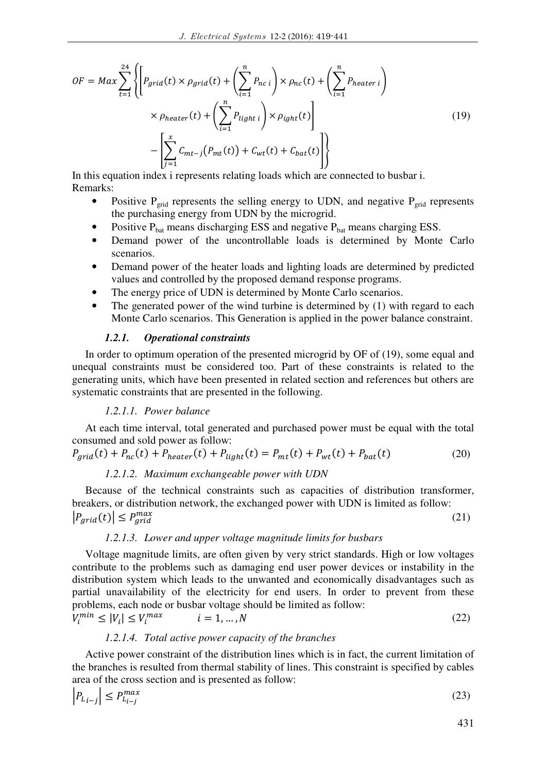$$
OF = Max \sum_{t=1}^{24} \left\{ \left[ P_{grid}(t) \times \rho_{grid}(t) + \left( \sum_{i=1}^{n} P_{nc i} \right) \times \rho_{nc}(t) + \left( \sum_{i=1}^{n} P_{heater i} \right) \right] \times \rho_{heater}(t) + \left( \sum_{i=1}^{n} P_{light i} \right) \times \rho_{ight}(t) \right\}
$$

$$
- \left[ \sum_{j=1}^{x} C_{mt-j} (P_{mt}(t)) + C_{wt}(t) + C_{bat}(t) \right] \right\}
$$
(19)

In this equation index i represents relating loads which are connected to busbar i. Remarks:

- Positive  $P_{grid}$  represents the selling energy to UDN, and negative  $P_{grid}$  represents the purchasing energy from UDN by the microgrid.
- Positive  $P_{bat}$  means discharging ESS and negative  $P_{bat}$  means charging ESS.
- Demand power of the uncontrollable loads is determined by Monte Carlo scenarios.
- Demand power of the heater loads and lighting loads are determined by predicted values and controlled by the proposed demand response programs.
- The energy price of UDN is determined by Monte Carlo scenarios.
- The generated power of the wind turbine is determined by  $(1)$  with regard to each Monte Carlo scenarios. This Generation is applied in the power balance constraint.

### *1.2.1. Operational constraints*

In order to optimum operation of the presented microgrid by OF of (19), some equal and unequal constraints must be considered too. Part of these constraints is related to the generating units, which have been presented in related section and references but others are systematic constraints that are presented in the following.

### *1.2.1.1. Power balance*

At each time interval, total generated and purchased power must be equal with the total consumed and sold power as follow:

$$
P_{grid}(t) + P_{nc}(t) + P_{heater}(t) + P_{light}(t) = P_{mt}(t) + P_{wt}(t) + P_{bat}(t)
$$
\n(20)

### *1.2.1.2. Maximum exchangeable power with UDN*

Because of the technical constraints such as capacities of distribution transformer, breakers, or distribution network, the exchanged power with UDN is limited as follow:  $|P_{ari\tilde{d}}(t)| \leq P_{ari\tilde{d}}^{max}$  $\max_{\text{grid}}$  (21)

#### *1.2.1.3. Lower and upper voltage magnitude limits for busbars*

Voltage magnitude limits, are often given by very strict standards. High or low voltages contribute to the problems such as damaging end user power devices or instability in the distribution system which leads to the unwanted and economically disadvantages such as partial unavailability of the electricity for end users. In order to prevent from these problems, each node or busbar voltage should be limited as follow:

$$
V_i^{min} \le |V_i| \le V_i^{max} \qquad i = 1, \dots, N \tag{22}
$$

## *1.2.1.4. Total active power capacity of the branches*

Active power constraint of the distribution lines which is in fact, the current limitation of the branches is resulted from thermal stability of lines. This constraint is specified by cables area of the cross section and is presented as follow:

$$
\left|P_{L_{i-j}}\right| \le P_{L_{i-j}}^{\max} \tag{23}
$$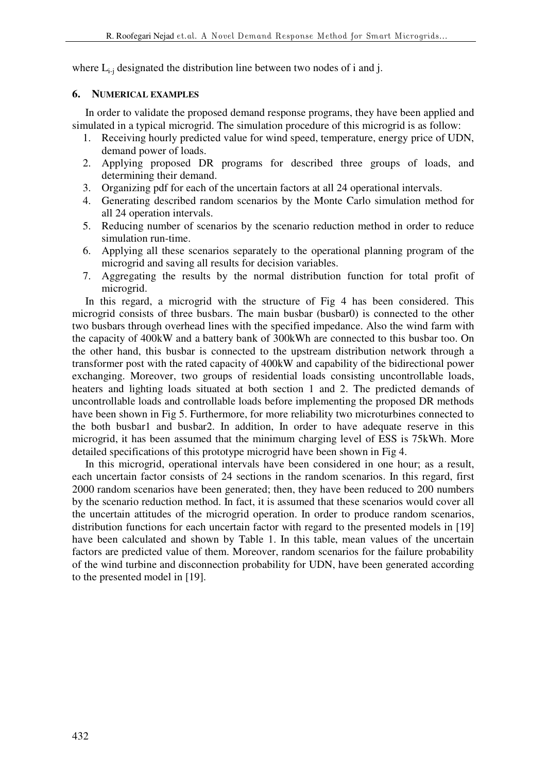where  $L_{i-i}$  designated the distribution line between two nodes of i and j.

## **6. NUMERICAL EXAMPLES**

In order to validate the proposed demand response programs, they have been applied and simulated in a typical microgrid. The simulation procedure of this microgrid is as follow:

- 1. Receiving hourly predicted value for wind speed, temperature, energy price of UDN, demand power of loads.
- 2. Applying proposed DR programs for described three groups of loads, and determining their demand.
- 3. Organizing pdf for each of the uncertain factors at all 24 operational intervals.
- 4. Generating described random scenarios by the Monte Carlo simulation method for all 24 operation intervals.
- 5. Reducing number of scenarios by the scenario reduction method in order to reduce simulation run-time.
- 6. Applying all these scenarios separately to the operational planning program of the microgrid and saving all results for decision variables.
- 7. Aggregating the results by the normal distribution function for total profit of microgrid.

In this regard, a microgrid with the structure of Fig 4 has been considered. This microgrid consists of three busbars. The main busbar (busbar0) is connected to the other two busbars through overhead lines with the specified impedance. Also the wind farm with the capacity of 400kW and a battery bank of 300kWh are connected to this busbar too. On the other hand, this busbar is connected to the upstream distribution network through a transformer post with the rated capacity of 400kW and capability of the bidirectional power exchanging. Moreover, two groups of residential loads consisting uncontrollable loads, heaters and lighting loads situated at both section 1 and 2. The predicted demands of uncontrollable loads and controllable loads before implementing the proposed DR methods have been shown in Fig 5. Furthermore, for more reliability two microturbines connected to the both busbar1 and busbar2. In addition, In order to have adequate reserve in this microgrid, it has been assumed that the minimum charging level of ESS is 75kWh. More detailed specifications of this prototype microgrid have been shown in Fig 4.

In this microgrid, operational intervals have been considered in one hour; as a result, each uncertain factor consists of 24 sections in the random scenarios. In this regard, first 2000 random scenarios have been generated; then, they have been reduced to 200 numbers by the scenario reduction method. In fact, it is assumed that these scenarios would cover all the uncertain attitudes of the microgrid operation. In order to produce random scenarios, distribution functions for each uncertain factor with regard to the presented models in [19] have been calculated and shown by Table 1. In this table, mean values of the uncertain factors are predicted value of them. Moreover, random scenarios for the failure probability of the wind turbine and disconnection probability for UDN, have been generated according to the presented model in [19].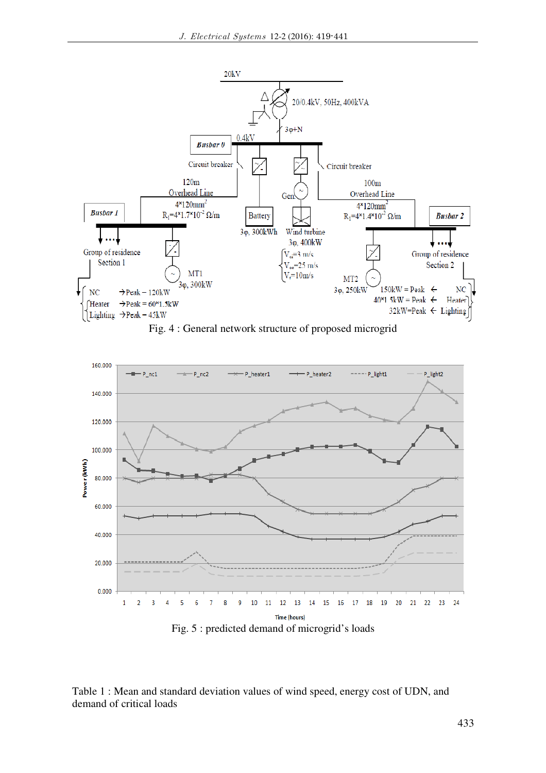

Fig. 4 : General network structure of proposed microgrid



Table 1 : Mean and standard deviation values of wind speed, energy cost of UDN, and demand of critical loads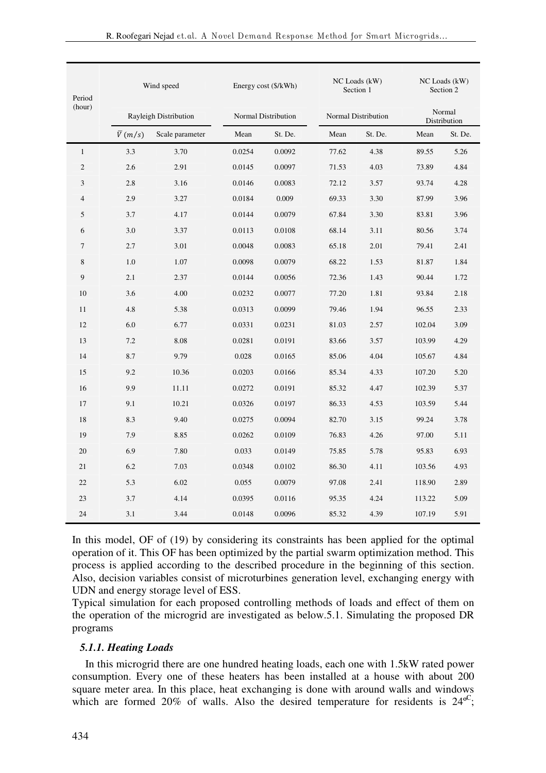| Period<br>(hour) | Wind speed            |                 |        | Energy cost (\$/kWh) |       | NC Loads (kW)<br>Section 1 |        | NC Loads (kW)<br>Section 2 |  |
|------------------|-----------------------|-----------------|--------|----------------------|-------|----------------------------|--------|----------------------------|--|
|                  | Rayleigh Distribution |                 |        | Normal Distribution  |       | <b>Normal Distribution</b> |        | Normal<br>Distribution     |  |
|                  | $\overline{V}(m/s)$   | Scale parameter | Mean   | St. De.              | Mean  | St. De.                    | Mean   | St. De.                    |  |
| $\mathbf{1}$     | 3.3                   | 3.70            | 0.0254 | 0.0092               | 77.62 | 4.38                       | 89.55  | 5.26                       |  |
| $\mathfrak{2}$   | 2.6                   | 2.91            | 0.0145 | 0.0097               | 71.53 | 4.03                       | 73.89  | 4.84                       |  |
| 3                | 2.8                   | 3.16            | 0.0146 | 0.0083               | 72.12 | 3.57                       | 93.74  | 4.28                       |  |
| $\overline{4}$   | 2.9                   | 3.27            | 0.0184 | 0.009                | 69.33 | 3.30                       | 87.99  | 3.96                       |  |
| 5                | 3.7                   | 4.17            | 0.0144 | 0.0079               | 67.84 | 3.30                       | 83.81  | 3.96                       |  |
| 6                | 3.0                   | 3.37            | 0.0113 | 0.0108               | 68.14 | 3.11                       | 80.56  | 3.74                       |  |
| $\overline{7}$   | 2.7                   | 3.01            | 0.0048 | 0.0083               | 65.18 | 2.01                       | 79.41  | 2.41                       |  |
| 8                | 1.0                   | 1.07            | 0.0098 | 0.0079               | 68.22 | 1.53                       | 81.87  | 1.84                       |  |
| 9                | 2.1                   | 2.37            | 0.0144 | 0.0056               | 72.36 | 1.43                       | 90.44  | 1.72                       |  |
| 10               | 3.6                   | 4.00            | 0.0232 | 0.0077               | 77.20 | 1.81                       | 93.84  | 2.18                       |  |
| 11               | 4.8                   | 5.38            | 0.0313 | 0.0099               | 79.46 | 1.94                       | 96.55  | 2.33                       |  |
| 12               | 6.0                   | 6.77            | 0.0331 | 0.0231               | 81.03 | 2.57                       | 102.04 | 3.09                       |  |
| 13               | 7.2                   | 8.08            | 0.0281 | 0.0191               | 83.66 | 3.57                       | 103.99 | 4.29                       |  |
| 14               | 8.7                   | 9.79            | 0.028  | 0.0165               | 85.06 | 4.04                       | 105.67 | 4.84                       |  |
| 15               | 9.2                   | 10.36           | 0.0203 | 0.0166               | 85.34 | 4.33                       | 107.20 | 5.20                       |  |
| 16               | 9.9                   | 11.11           | 0.0272 | 0.0191               | 85.32 | 4.47                       | 102.39 | 5.37                       |  |
| 17               | 9.1                   | 10.21           | 0.0326 | 0.0197               | 86.33 | 4.53                       | 103.59 | 5.44                       |  |
| 18               | 8.3                   | 9.40            | 0.0275 | 0.0094               | 82.70 | 3.15                       | 99.24  | 3.78                       |  |
| 19               | 7.9                   | 8.85            | 0.0262 | 0.0109               | 76.83 | 4.26                       | 97.00  | 5.11                       |  |
| 20               | 6.9                   | 7.80            | 0.033  | 0.0149               | 75.85 | 5.78                       | 95.83  | 6.93                       |  |
| 21               | 6.2                   | 7.03            | 0.0348 | 0.0102               | 86.30 | 4.11                       | 103.56 | 4.93                       |  |
| 22               | 5.3                   | 6.02            | 0.055  | 0.0079               | 97.08 | 2.41                       | 118.90 | 2.89                       |  |
| 23               | 3.7                   | 4.14            | 0.0395 | 0.0116               | 95.35 | 4.24                       | 113.22 | 5.09                       |  |
| 24               | 3.1                   | 3.44            | 0.0148 | 0.0096               | 85.32 | 4.39                       | 107.19 | 5.91                       |  |

In this model, OF of (19) by considering its constraints has been applied for the optimal operation of it. This OF has been optimized by the partial swarm optimization method. This process is applied according to the described procedure in the beginning of this section. Also, decision variables consist of microturbines generation level, exchanging energy with UDN and energy storage level of ESS.

Typical simulation for each proposed controlling methods of loads and effect of them on the operation of the microgrid are investigated as below.5.1. Simulating the proposed DR programs

## *5.1.1. Heating Loads*

In this microgrid there are one hundred heating loads, each one with 1.5kW rated power consumption. Every one of these heaters has been installed at a house with about 200 square meter area. In this place, heat exchanging is done with around walls and windows which are formed 20% of walls. Also the desired temperature for residents is  $24^{\circ}$ C;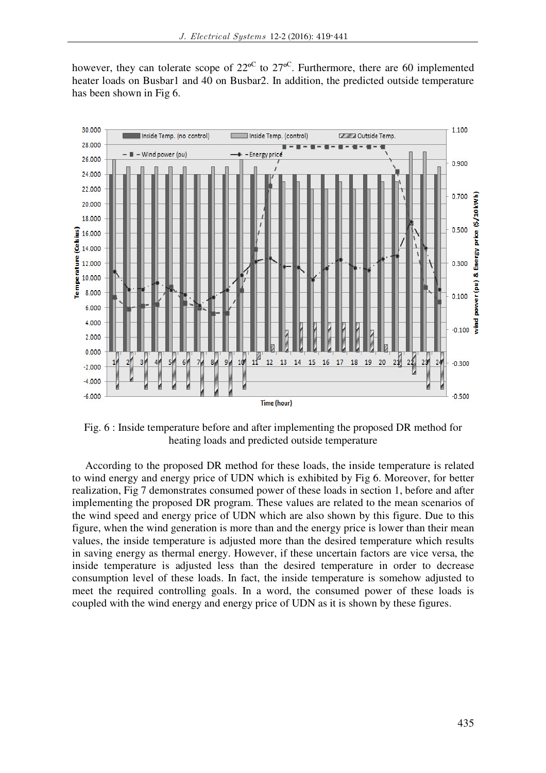however, they can tolerate scope of  $22^{\circ}$  to  $27^{\circ}$ . Furthermore, there are 60 implemented heater loads on Busbar1 and 40 on Busbar2. In addition, the predicted outside temperature has been shown in Fig 6.



Fig. 6 : Inside temperature before and after implementing the proposed DR method for heating loads and predicted outside temperature

According to the proposed DR method for these loads, the inside temperature is related to wind energy and energy price of UDN which is exhibited by Fig 6. Moreover, for better realization, Fig 7 demonstrates consumed power of these loads in section 1, before and after implementing the proposed DR program. These values are related to the mean scenarios of the wind speed and energy price of UDN which are also shown by this figure. Due to this figure, when the wind generation is more than and the energy price is lower than their mean values, the inside temperature is adjusted more than the desired temperature which results in saving energy as thermal energy. However, if these uncertain factors are vice versa, the inside temperature is adjusted less than the desired temperature in order to decrease consumption level of these loads. In fact, the inside temperature is somehow adjusted to meet the required controlling goals. In a word, the consumed power of these loads is coupled with the wind energy and energy price of UDN as it is shown by these figures.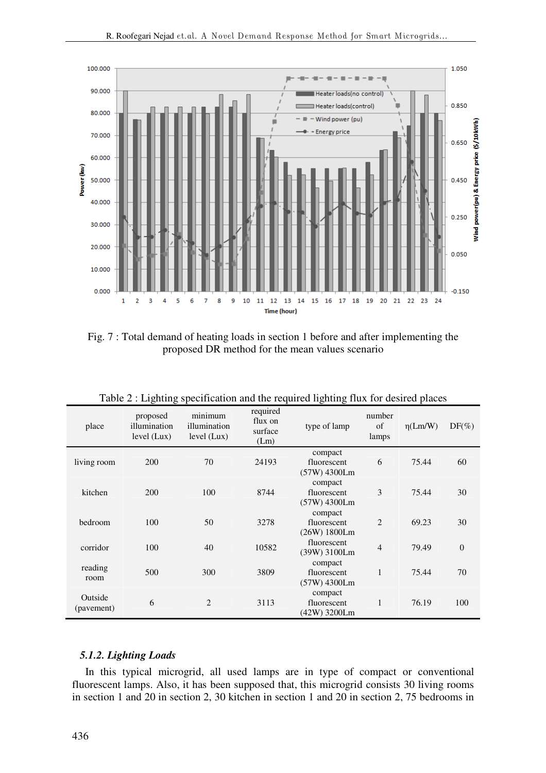

Fig. 7 : Total demand of heating loads in section 1 before and after implementing the proposed DR method for the mean values scenario

| place                 | proposed<br>illumination<br>level (Lux) | minimum<br>illumination<br>level (Lux) | required<br>flux on<br>surface<br>(Lm) | type of lamp                           | number<br>of<br>lamps | $\eta$ (Lm/W) | $DF(\%)$       |
|-----------------------|-----------------------------------------|----------------------------------------|----------------------------------------|----------------------------------------|-----------------------|---------------|----------------|
| living room           | 200                                     | 70                                     | 24193                                  | compact<br>fluorescent<br>(57W) 4300Lm | 6                     | 75.44         | 60             |
| kitchen               | 200                                     | 100                                    | 8744                                   | compact<br>fluorescent<br>(57W) 4300Lm | 3                     | 75.44         | 30             |
| bedroom               | 100                                     | 50                                     | 3278                                   | compact<br>fluorescent<br>(26W) 1800Lm | $\overline{2}$        | 69.23         | 30             |
| corridor              | 100                                     | 40                                     | 10582                                  | fluorescent<br>(39W) 3100Lm            | $\overline{4}$        | 79.49         | $\overline{0}$ |
| reading<br>room       | 500                                     | 300                                    | 3809                                   | compact<br>fluorescent<br>(57W) 4300Lm | $\mathbf{1}$          | 75.44         | 70             |
| Outside<br>(pavement) | 6                                       | 2                                      | 3113                                   | compact<br>fluorescent<br>(42W) 3200Lm | 1                     | 76.19         | 100            |

Table 2 : Lighting specification and the required lighting flux for desired places

## *5.1.2. Lighting Loads*

In this typical microgrid, all used lamps are in type of compact or conventional fluorescent lamps. Also, it has been supposed that, this microgrid consists 30 living rooms in section 1 and 20 in section 2, 30 kitchen in section 1 and 20 in section 2, 75 bedrooms in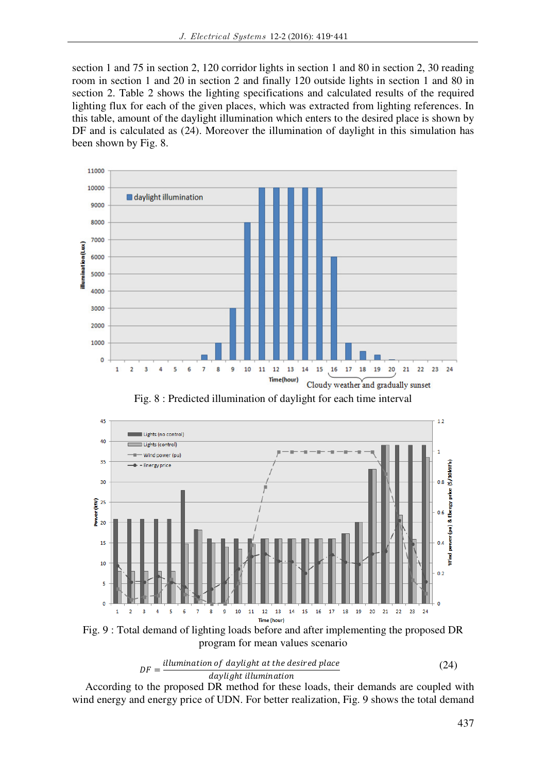section 1 and 75 in section 2, 120 corridor lights in section 1 and 80 in section 2, 30 reading room in section 1 and 20 in section 2 and finally 120 outside lights in section 1 and 80 in section 2. Table 2 shows the lighting specifications and calculated results of the required lighting flux for each of the given places, which was extracted from lighting references. In this table, amount of the daylight illumination which enters to the desired place is shown by DF and is calculated as (24). Moreover the illumination of daylight in this simulation has been shown by Fig. 8.



Fig. 8 : Predicted illumination of daylight for each time interval



Fig. 9 : Total demand of lighting loads before and after implementing the proposed DR program for mean values scenario



According to the proposed DR method for these loads, their demands are coupled with wind energy and energy price of UDN. For better realization, Fig. 9 shows the total demand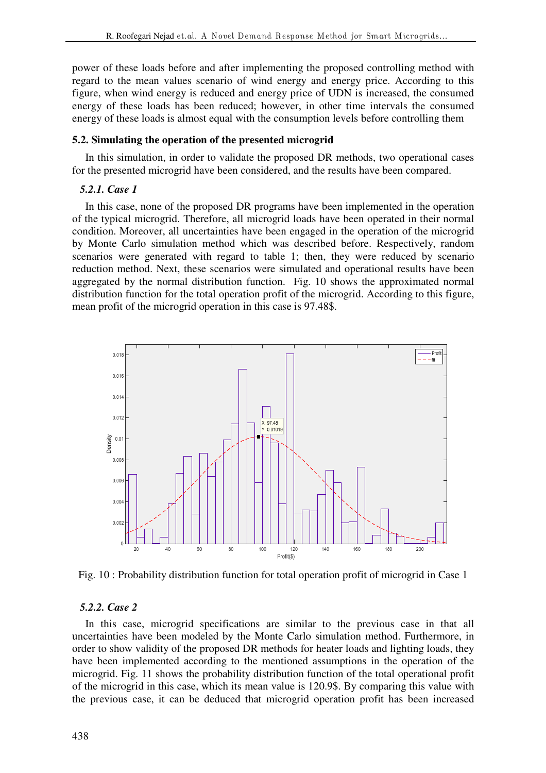power of these loads before and after implementing the proposed controlling method with regard to the mean values scenario of wind energy and energy price. According to this figure, when wind energy is reduced and energy price of UDN is increased, the consumed energy of these loads has been reduced; however, in other time intervals the consumed energy of these loads is almost equal with the consumption levels before controlling them

# **5.2. Simulating the operation of the presented microgrid**

In this simulation, in order to validate the proposed DR methods, two operational cases for the presented microgrid have been considered, and the results have been compared.

# *5.2.1. Case 1*

In this case, none of the proposed DR programs have been implemented in the operation of the typical microgrid. Therefore, all microgrid loads have been operated in their normal condition. Moreover, all uncertainties have been engaged in the operation of the microgrid by Monte Carlo simulation method which was described before. Respectively, random scenarios were generated with regard to table 1; then, they were reduced by scenario reduction method. Next, these scenarios were simulated and operational results have been aggregated by the normal distribution function. Fig. 10 shows the approximated normal distribution function for the total operation profit of the microgrid. According to this figure, mean profit of the microgrid operation in this case is 97.48\$.



Fig. 10 : Probability distribution function for total operation profit of microgrid in Case 1

# *5.2.2. Case 2*

In this case, microgrid specifications are similar to the previous case in that all uncertainties have been modeled by the Monte Carlo simulation method. Furthermore, in order to show validity of the proposed DR methods for heater loads and lighting loads, they have been implemented according to the mentioned assumptions in the operation of the microgrid. Fig. 11 shows the probability distribution function of the total operational profit of the microgrid in this case, which its mean value is 120.9\$. By comparing this value with the previous case, it can be deduced that microgrid operation profit has been increased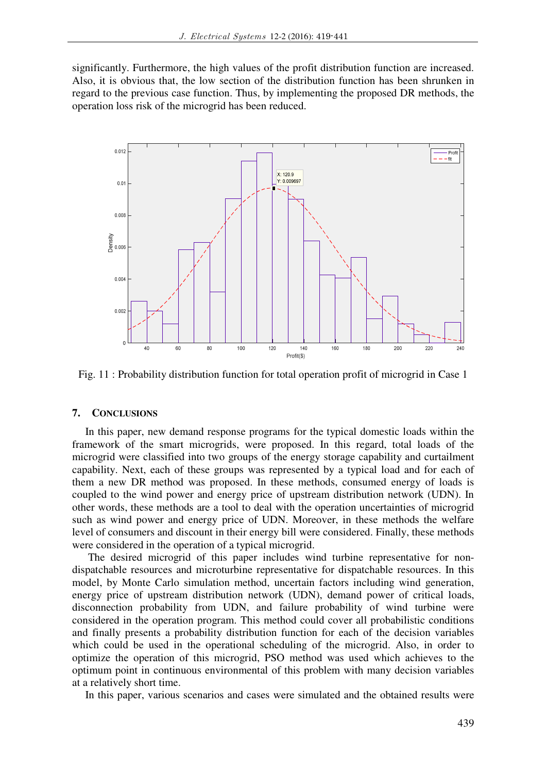significantly. Furthermore, the high values of the profit distribution function are increased. Also, it is obvious that, the low section of the distribution function has been shrunken in regard to the previous case function. Thus, by implementing the proposed DR methods, the operation loss risk of the microgrid has been reduced.



Fig. 11 : Probability distribution function for total operation profit of microgrid in Case 1

### **7. CONCLUSIONS**

In this paper, new demand response programs for the typical domestic loads within the framework of the smart microgrids, were proposed. In this regard, total loads of the microgrid were classified into two groups of the energy storage capability and curtailment capability. Next, each of these groups was represented by a typical load and for each of them a new DR method was proposed. In these methods, consumed energy of loads is coupled to the wind power and energy price of upstream distribution network (UDN). In other words, these methods are a tool to deal with the operation uncertainties of microgrid such as wind power and energy price of UDN. Moreover, in these methods the welfare level of consumers and discount in their energy bill were considered. Finally, these methods were considered in the operation of a typical microgrid.

 The desired microgrid of this paper includes wind turbine representative for nondispatchable resources and microturbine representative for dispatchable resources. In this model, by Monte Carlo simulation method, uncertain factors including wind generation, energy price of upstream distribution network (UDN), demand power of critical loads, disconnection probability from UDN, and failure probability of wind turbine were considered in the operation program. This method could cover all probabilistic conditions and finally presents a probability distribution function for each of the decision variables which could be used in the operational scheduling of the microgrid. Also, in order to optimize the operation of this microgrid, PSO method was used which achieves to the optimum point in continuous environmental of this problem with many decision variables at a relatively short time.

In this paper, various scenarios and cases were simulated and the obtained results were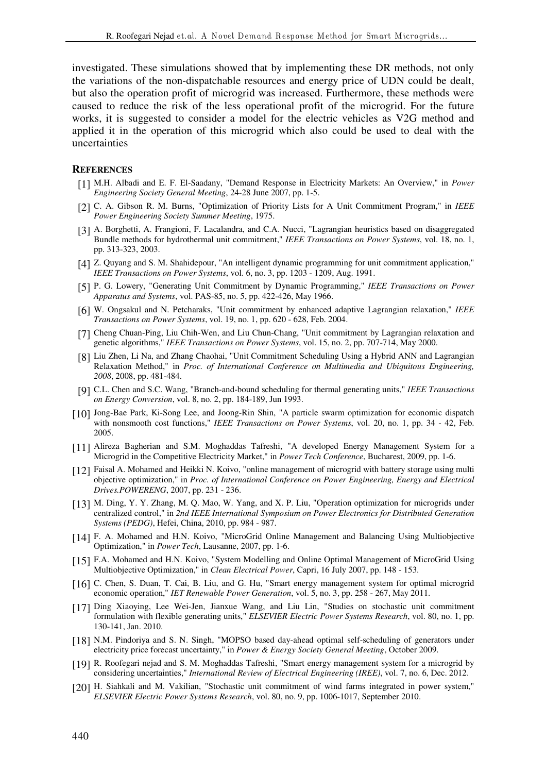investigated. These simulations showed that by implementing these DR methods, not only the variations of the non-dispatchable resources and energy price of UDN could be dealt, but also the operation profit of microgrid was increased. Furthermore, these methods were caused to reduce the risk of the less operational profit of the microgrid. For the future works, it is suggested to consider a model for the electric vehicles as V2G method and applied it in the operation of this microgrid which also could be used to deal with the uncertainties

#### **REFERENCES**

- [1] M.H. Albadi and E. F. El-Saadany, "Demand Response in Electricity Markets: An Overview," in *Power Engineering Society General Meeting*, 24-28 June 2007, pp. 1-5.
- [2] C. A. Gibson R. M. Burns, "Optimization of Priority Lists for A Unit Commitment Program," in *IEEE Power Engineering Society Summer Meeting*, 1975.
- [3] A. Borghetti, A. Frangioni, F. Lacalandra, and C.A. Nucci, "Lagrangian heuristics based on disaggregated Bundle methods for hydrothermal unit commitment," *IEEE Transactions on Power Systems*, vol. 18, no. 1, pp. 313-323, 2003.
- [4] Z. Quyang and S. M. Shahidepour, "An intelligent dynamic programming for unit commitment application," *IEEE Transactions on Power Systems*, vol. 6, no. 3, pp. 1203 - 1209, Aug. 1991.
- [5] P. G. Lowery, "Generating Unit Commitment by Dynamic Programming," *IEEE Transactions on Power Apparatus and Systems*, vol. PAS-85, no. 5, pp. 422-426, May 1966.
- [6] W. Ongsakul and N. Petcharaks, "Unit commitment by enhanced adaptive Lagrangian relaxation," *IEEE Transactions on Power Systems*, vol. 19, no. 1, pp. 620 - 628, Feb. 2004.
- [7] Cheng Chuan-Ping, Liu Chih-Wen, and Liu Chun-Chang, "Unit commitment by Lagrangian relaxation and genetic algorithms," *IEEE Transactions on Power Systems*, vol. 15, no. 2, pp. 707-714, May 2000.
- [8] Liu Zhen, Li Na, and Zhang Chaohai, "Unit Commitment Scheduling Using a Hybrid ANN and Lagrangian Relaxation Method," in *Proc. of International Conference on Multimedia and Ubiquitous Engineering, 2008*, 2008, pp. 481-484.
- [9] C.L. Chen and S.C. Wang, "Branch-and-bound scheduling for thermal generating units," *IEEE Transactions on Energy Conversion*, vol. 8, no. 2, pp. 184-189, Jun 1993.
- [10] Jong-Bae Park, Ki-Song Lee, and Joong-Rin Shin, "A particle swarm optimization for economic dispatch with nonsmooth cost functions," *IEEE Transactions on Power Systems*, vol. 20, no. 1, pp. 34 - 42, Feb. 2005.
- [11] Alireza Bagherian and S.M. Moghaddas Tafreshi, "A developed Energy Management System for a Microgrid in the Competitive Electricity Market," in *Power Tech Conference*, Bucharest, 2009, pp. 1-6.
- [12] Faisal A. Mohamed and Heikki N. Koivo, "online management of microgrid with battery storage using multi objective optimization," in *Proc. of International Conference on Power Engineering, Energy and Electrical Drives.POWERENG*, 2007, pp. 231 - 236.
- [13] M. Ding, Y. Y. Zhang, M. Q. Mao, W. Yang, and X. P. Liu, "Operation optimization for microgrids under centralized control," in *2nd IEEE International Symposium on Power Electronics for Distributed Generation Systems (PEDG)*, Hefei, China, 2010, pp. 984 - 987.
- [14] F. A. Mohamed and H.N. Koivo, "MicroGrid Online Management and Balancing Using Multiobjective Optimization," in *Power Tech*, Lausanne, 2007, pp. 1-6.
- [15] F.A. Mohamed and H.N. Koivo, "System Modelling and Online Optimal Management of MicroGrid Using Multiobjective Optimization," in *Clean Electrical Power*, Capri, 16 July 2007, pp. 148 - 153.
- [16] C. Chen, S. Duan, T. Cai, B. Liu, and G. Hu, "Smart energy management system for optimal microgrid economic operation," *IET Renewable Power Generation*, vol. 5, no. 3, pp. 258 - 267, May 2011.
- [17] Ding Xiaoying, Lee Wei-Jen, Jianxue Wang, and Liu Lin, "Studies on stochastic unit commitment formulation with flexible generating units," *ELSEVIER Electric Power Systems Research*, vol. 80, no. 1, pp. 130-141, Jan. 2010.
- [18] N.M. Pindoriya and S. N. Singh, "MOPSO based day-ahead optimal self-scheduling of generators under electricity price forecast uncertainty," in *Power & Energy Society General Meeting*, October 2009.
- [19] R. Roofegari nejad and S. M. Moghaddas Tafreshi, "Smart energy management system for a microgrid by considering uncertainties," *International Review of Electrical Engineering (IREE)*, vol. 7, no. 6, Dec. 2012.
- [20] H. Siahkali and M. Vakilian, "Stochastic unit commitment of wind farms integrated in power system," *ELSEVIER Electric Power Systems Research*, vol. 80, no. 9, pp. 1006-1017, September 2010.